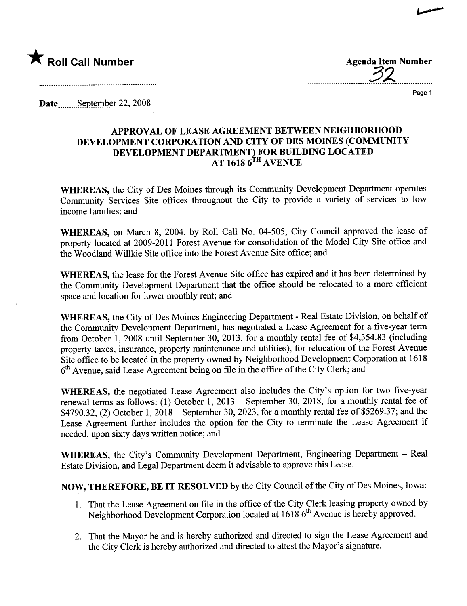

............................22.................

...~

Page 1

Date  $S$ eptember 22, 2008

## APPROVAL OF LEASE AGREEMENT BETWEEN NEIGHBORHOOD DEVELOPMENT CORPORATION AND CITY OF DES MOINES (COMMUNITY DEVELOPMENT DEPARTMENT) FOR BUILDING LOCATED AT 1618 6<sup>1n</sup> AVENUE

WHEREAS, the City of Des Moines through its Community Development Department operates Community Services Site offices throughout the City to provide a variety of services to low income families; and

WHEREAS, on March 8, 2004, by Roll Call No. 04-505, City Council approved the lease of property located at 2009-2011 Forest Avenue for consolidation of the Model City Site office and the Woodland Willkie Site office into the Forest Avenue Site office; and

WHEREAS, the lease for the Forest Avenue Site office has expired and it has been determined by the Community Development Deparment that the office should be relocated to a more efficient space and location for lower monthly rent; and

WHEREAS, the City of Des Moines Engineering Deparment - Real Estate Division, on behalf of the Community Development Deparment, has negotiated a Lease Agreement for a five-year term from October 1, 2008 until September 30, 2013, for a monthly rental fee of \$4,354.83 (including property taxes, insurance, property maintenance and utilities), for relocation of the Forest Avenue Site office to be located in the property owned by Neighborhood Development Corporation at 1618 6<sup>th</sup> Avenue, said Lease Agreement being on file in the office of the City Clerk; and

WHEREAS, the negotiated Lease Agreement also includes the City's option for two five-year renewal terms as follows: (1) October 1, 2013 - September 30, 2018, for a monthly rental fee of \$4790.32, (2) October 1, 2018 - September 30,2023, for a monthly rental fee of \$5269.37; and the Lease Agreement further includes the option for the City to terminate the Lease Agreement if needed, upon sixty days written notice; and

WHEREAS, the City's Community Development Department, Engineering Department - Real Estate Division, and Legal Deparment deem it advisable to approve this Lease.

NOW, THEREFORE, BE IT RESOLVED by the City Council of the City of Des Moines, Iowa:

- 1. That the Lease Agreement on file in the office of the City Clerk leasing property owned by Neighborhood Development Corporation located at 1618 6<sup>th</sup> Avenue is hereby approved.
- 2. That the Mayor be and is hereby authorized and directed to sign the Lease Agreement and the City Clerk is hereby authorized and directed to attest the Mayor's signature.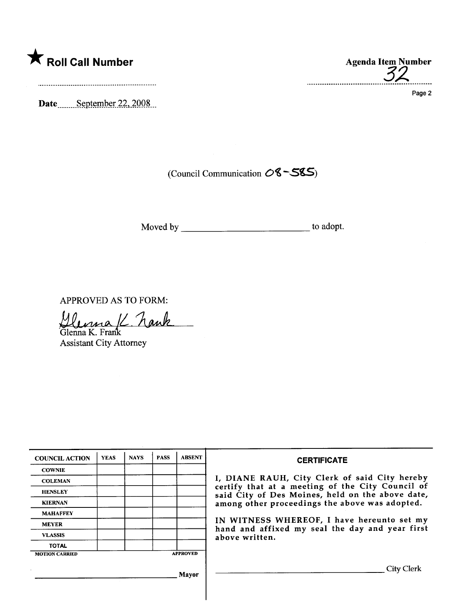

Date September 22, 2008

A Roll Call Number Agenda Item Number<br>Agenda Item Number 32

Page 2

(Council Communication  $0$ <sup>8 -</sup> S\$5)

Moved by to adopt.

APPROVED AS TO FORM:

Glenna K. hank

Assistant City Attorney

| <b>COUNCIL ACTION</b> | <b>YEAS</b>     | <b>NAYS</b> | <b>PASS</b> | <b>ABSENT</b> | <b>CERTIFICATE</b>                                                                                                                                                                                                                                                                                                         |
|-----------------------|-----------------|-------------|-------------|---------------|----------------------------------------------------------------------------------------------------------------------------------------------------------------------------------------------------------------------------------------------------------------------------------------------------------------------------|
| <b>COWNIE</b>         |                 |             |             |               | I, DIANE RAUH, City Clerk of said City hereby<br>certify that at a meeting of the City Council of<br>said City of Des Moines, held on the above date,<br>among other proceedings the above was adopted.<br>IN WITNESS WHEREOF, I have hereunto set my<br>hand and affixed my seal the day and year first<br>above written. |
| <b>COLEMAN</b>        |                 |             |             |               |                                                                                                                                                                                                                                                                                                                            |
| <b>HENSLEY</b>        |                 |             |             |               |                                                                                                                                                                                                                                                                                                                            |
| <b>KIERNAN</b>        |                 |             |             |               |                                                                                                                                                                                                                                                                                                                            |
| <b>MAHAFFEY</b>       |                 |             |             |               |                                                                                                                                                                                                                                                                                                                            |
| <b>MEYER</b>          |                 |             |             |               |                                                                                                                                                                                                                                                                                                                            |
| <b>VLASSIS</b>        |                 |             |             |               |                                                                                                                                                                                                                                                                                                                            |
| <b>TOTAL</b>          |                 |             |             |               |                                                                                                                                                                                                                                                                                                                            |
| <b>MOTION CARRIED</b> | <b>APPROVED</b> |             |             |               |                                                                                                                                                                                                                                                                                                                            |
| <b>Mayor</b>          |                 |             |             |               | City Clerk                                                                                                                                                                                                                                                                                                                 |